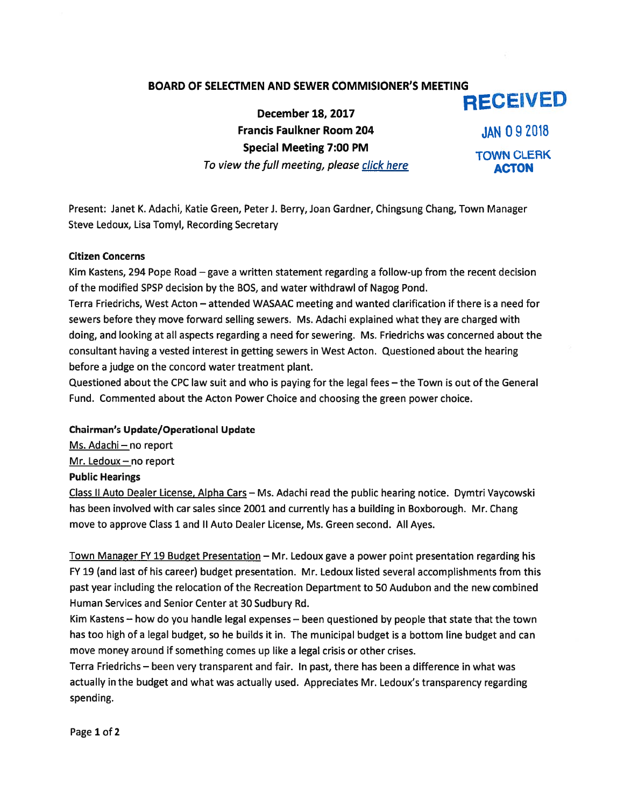# BOARD OF SELECTMEN AND SEWER COMMISIONER'S MEETING RECEIVED

December 18, 2017 Francis Faulkner Room 204 JAN 09 2018 Special Meeting 7:00 PM TOWN CLERK To view the full meeting, please click here Manuscriptus ACTON

Present: Janet K. Adachi, Katie Green, Peter J. Berry, Joan Gardner, Chingsung Chang, Town Manager Steve Ledoux, Lisa Tomyl, Recording Secretary

### Citizen Concerns

Kim Kastens, 294 Pope Road — gave <sup>a</sup> written statement regarding <sup>a</sup> follow-up from the recent decision of the modified SPSP decision by the BOS, and water withdrawl of Nagog Pond.

Terra Friedrichs, West Acton — attended WASAAC meeting and wanted clarification if there is <sup>a</sup> need for sewers before they move forward selling sewers. Ms. Adachi explained what they are charged with doing, and looking at all aspects regarding <sup>a</sup> need for sewering. Ms. Friedrichs was concerned about the consultant having <sup>a</sup> vested interest in getting sewers in West Acton. Questioned about the hearing before <sup>a</sup> judge on the concord water treatment plant.

Questioned about the CPC law suit and who is paying for the legal fees — the Town is out of the General Fund. Commented about the Acton Power Choice and choosing the green power choice.

## Chairman's Update/Operational Update

Ms. Adachi — no repor<sup>t</sup> Mr. Ledoux — no repor<sup>t</sup> Public Hearings

Class II Auto Dealer License, Alpha Cars - Ms. Adachi read the public hearing notice. Dymtri Vaycowski has been involved with car sales since 2001 and currently has <sup>a</sup> building in Boxborough. Mr. Chang move to approve Class 1 and II Auto Dealer License, Ms. Green second. All Ayes.

Town Manager FY 19 Budget Presentation — Mr. Ledoux gave <sup>a</sup> power point presentation regarding his FY 19 (and last of his career) budget presentation. Mr. Ledoux listed several accomplishments from this pas<sup>t</sup> year including the relocation of the Recreation Department to 50 Audubon and the new combined Human Services and Senior Center at 30 Sudbury Rd.

Kim Kastens — how do you handle legal expenses — been questioned by people that state that the town has too high of <sup>a</sup> legal budget, so he builds it in. The municipal budget is <sup>a</sup> bottom line budget and can move money around if something comes up like <sup>a</sup> legal crisis or other crises.

Terra Friedrichs — been very transparent and fair. In past, there has been <sup>a</sup> difference in what was actually in the budget and what was actually used. Appreciates Mr. Ledoux's transparency regarding spending.